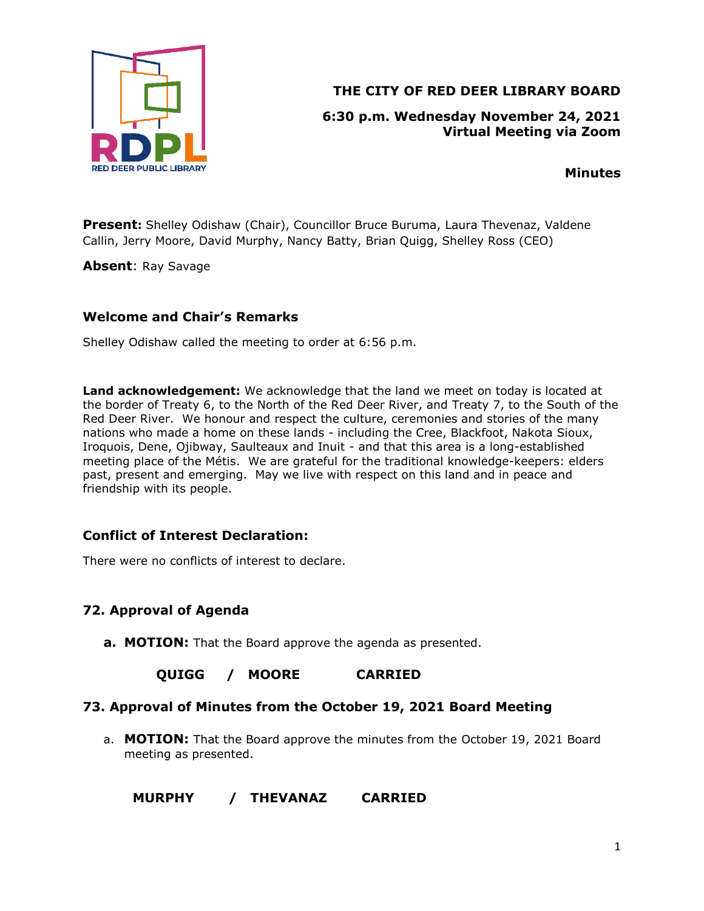

# **THE CITY OF RED DEER LIBRARY BOARD**

### **6:30 p.m. Wednesday November 24, 2021 Virtual Meeting via Zoom**

**Minutes**

**Present:** Shelley Odishaw (Chair), Councillor Bruce Buruma, Laura Thevenaz, Valdene Callin, Jerry Moore, David Murphy, Nancy Batty, Brian Quigg, Shelley Ross (CEO)

**Absent**: Ray Savage

### **Welcome and Chair's Remarks**

Shelley Odishaw called the meeting to order at 6:56 p.m.

**Land acknowledgement:** We acknowledge that the land we meet on today is located at the border of Treaty 6, to the North of the Red Deer River, and Treaty 7, to the South of the Red Deer River. We honour and respect the culture, ceremonies and stories of the many nations who made a home on these lands - including the Cree, Blackfoot, Nakota Sioux, Iroquois, Dene, Ojibway, Saulteaux and Inuit - and that this area is a long-established meeting place of the Métis. We are grateful for the traditional knowledge-keepers: elders past, present and emerging. May we live with respect on this land and in peace and friendship with its people.

## **Conflict of Interest Declaration:**

There were no conflicts of interest to declare.

# **72. Approval of Agenda**

**a. MOTION:** That the Board approve the agenda as presented.

## **QUIGG / MOORE CARRIED**

#### **73. Approval of Minutes from the October 19, 2021 Board Meeting**

a. **MOTION:** That the Board approve the minutes from the October 19, 2021 Board meeting as presented.

## **MURPHY / THEVANAZ CARRIED**